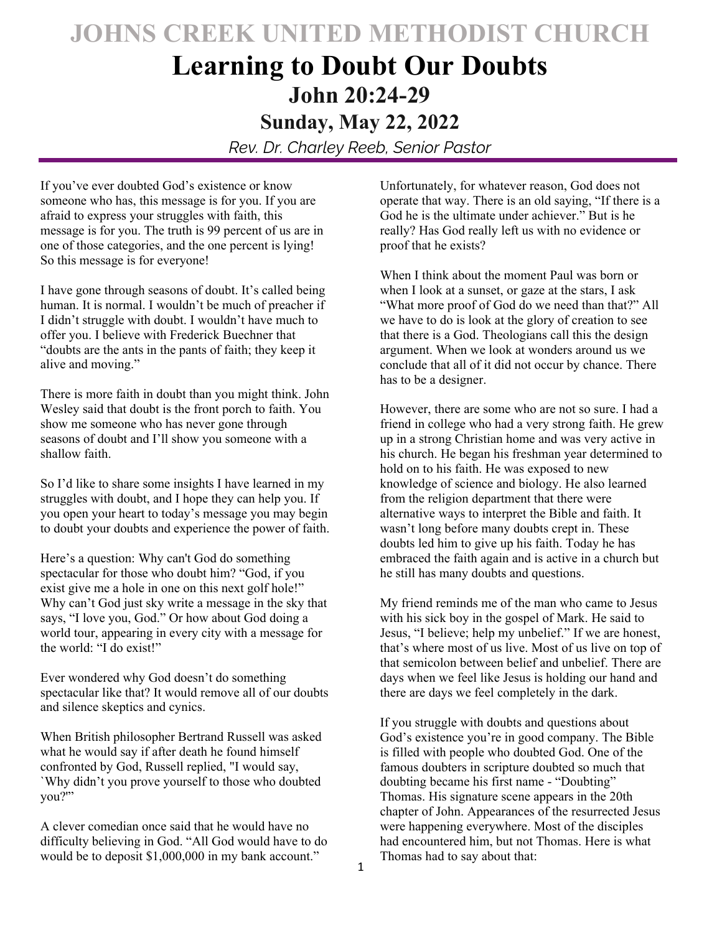# **JOHNS CREEK UNITED METHODIST CHURCH**

## **Learning to Doubt Our Doubts John 20:24-29 Sunday, May 22, 2022**

*Rev. Dr. Charley Reeb, Senior Pastor* 

If you've ever doubted God's existence or know someone who has, this message is for you. If you are afraid to express your struggles with faith, this message is for you. The truth is 99 percent of us are in one of those categories, and the one percent is lying! So this message is for everyone!

I have gone through seasons of doubt. It's called being human. It is normal. I wouldn't be much of preacher if I didn't struggle with doubt. I wouldn't have much to offer you. I believe with Frederick Buechner that "doubts are the ants in the pants of faith; they keep it alive and moving."

There is more faith in doubt than you might think. John Wesley said that doubt is the front porch to faith. You show me someone who has never gone through seasons of doubt and I'll show you someone with a shallow faith.

So I'd like to share some insights I have learned in my struggles with doubt, and I hope they can help you. If you open your heart to today's message you may begin to doubt your doubts and experience the power of faith.

Here's a question: Why can't God do something spectacular for those who doubt him? "God, if you exist give me a hole in one on this next golf hole!" Why can't God just sky write a message in the sky that says, "I love you, God." Or how about God doing a world tour, appearing in every city with a message for the world: "I do exist!"

Ever wondered why God doesn't do something spectacular like that? It would remove all of our doubts and silence skeptics and cynics.

When British philosopher Bertrand Russell was asked what he would say if after death he found himself confronted by God, Russell replied, "I would say, `Why didn't you prove yourself to those who doubted you?'"

A clever comedian once said that he would have no difficulty believing in God. "All God would have to do would be to deposit \$1,000,000 in my bank account."

Unfortunately, for whatever reason, God does not operate that way. There is an old saying, "If there is a God he is the ultimate under achiever." But is he really? Has God really left us with no evidence or proof that he exists?

When I think about the moment Paul was born or when I look at a sunset, or gaze at the stars, I ask "What more proof of God do we need than that?" All we have to do is look at the glory of creation to see that there is a God. Theologians call this the design argument. When we look at wonders around us we conclude that all of it did not occur by chance. There has to be a designer.

However, there are some who are not so sure. I had a friend in college who had a very strong faith. He grew up in a strong Christian home and was very active in his church. He began his freshman year determined to hold on to his faith. He was exposed to new knowledge of science and biology. He also learned from the religion department that there were alternative ways to interpret the Bible and faith. It wasn't long before many doubts crept in. These doubts led him to give up his faith. Today he has embraced the faith again and is active in a church but he still has many doubts and questions.

My friend reminds me of the man who came to Jesus with his sick boy in the gospel of Mark. He said to Jesus, "I believe; help my unbelief." If we are honest, that's where most of us live. Most of us live on top of that semicolon between belief and unbelief. There are days when we feel like Jesus is holding our hand and there are days we feel completely in the dark.

If you struggle with doubts and questions about God's existence you're in good company. The Bible is filled with people who doubted God. One of the famous doubters in scripture doubted so much that doubting became his first name - "Doubting" Thomas. His signature scene appears in the 20th chapter of John. Appearances of the resurrected Jesus were happening everywhere. Most of the disciples had encountered him, but not Thomas. Here is what Thomas had to say about that: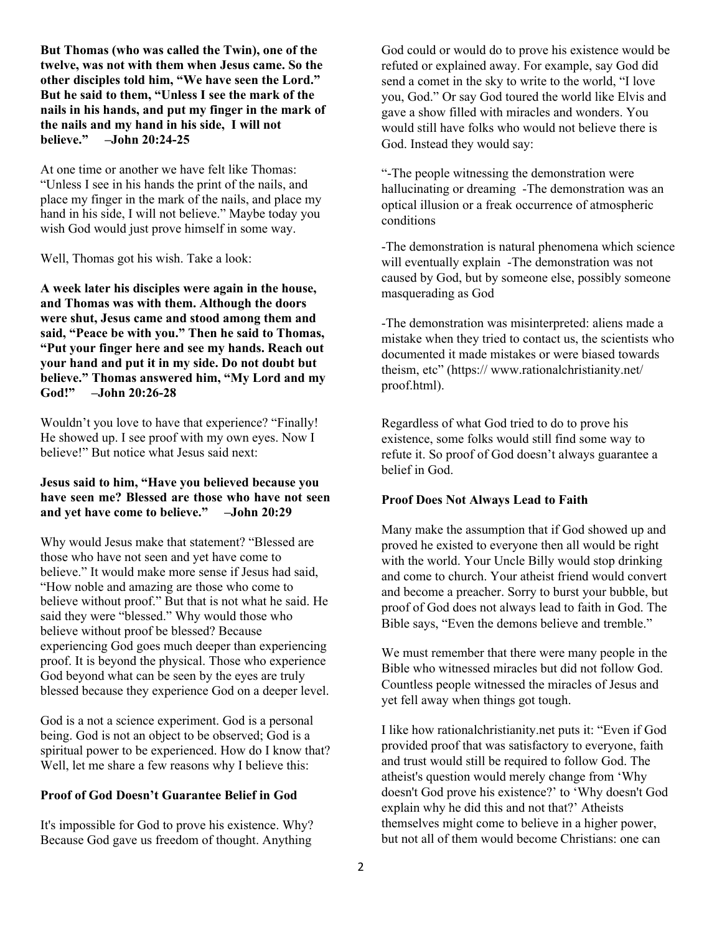**But Thomas (who was called the Twin), one of the twelve, was not with them when Jesus came. So the other disciples told him, "We have seen the Lord." But he said to them, "Unless I see the mark of the nails in his hands, and put my finger in the mark of the nails and my hand in his side, I will not believe." –John 20:24-25** 

At one time or another we have felt like Thomas: "Unless I see in his hands the print of the nails, and place my finger in the mark of the nails, and place my hand in his side, I will not believe." Maybe today you wish God would just prove himself in some way.

Well, Thomas got his wish. Take a look:

**A week later his disciples were again in the house, and Thomas was with them. Although the doors were shut, Jesus came and stood among them and said, "Peace be with you." Then he said to Thomas, "Put your finger here and see my hands. Reach out your hand and put it in my side. Do not doubt but believe." Thomas answered him, "My Lord and my God!" –John 20:26-28** 

Wouldn't you love to have that experience? "Finally! He showed up. I see proof with my own eyes. Now I believe!" But notice what Jesus said next:

## **Jesus said to him, "Have you believed because you have seen me? Blessed are those who have not seen and yet have come to believe." –John 20:29**

Why would Jesus make that statement? "Blessed are those who have not seen and yet have come to believe." It would make more sense if Jesus had said, "How noble and amazing are those who come to believe without proof." But that is not what he said. He said they were "blessed." Why would those who believe without proof be blessed? Because experiencing God goes much deeper than experiencing proof. It is beyond the physical. Those who experience God beyond what can be seen by the eyes are truly blessed because they experience God on a deeper level.

God is a not a science experiment. God is a personal being. God is not an object to be observed; God is a spiritual power to be experienced. How do I know that? Well, let me share a few reasons why I believe this:

## **Proof of God Doesn't Guarantee Belief in God**

It's impossible for God to prove his existence. Why? Because God gave us freedom of thought. Anything

God could or would do to prove his existence would be refuted or explained away. For example, say God did send a comet in the sky to write to the world, "I love you, God." Or say God toured the world like Elvis and gave a show filled with miracles and wonders. You would still have folks who would not believe there is God. Instead they would say:

"-The people witnessing the demonstration were hallucinating or dreaming -The demonstration was an optical illusion or a freak occurrence of atmospheric conditions

-The demonstration is natural phenomena which science will eventually explain -The demonstration was not caused by God, but by someone else, possibly someone masquerading as God

-The demonstration was misinterpreted: aliens made a mistake when they tried to contact us, the scientists who documented it made mistakes or were biased towards theism, etc" (https:// www.rationalchristianity.net/ proof.html).

Regardless of what God tried to do to prove his existence, some folks would still find some way to refute it. So proof of God doesn't always guarantee a belief in God.

#### **Proof Does Not Always Lead to Faith**

Many make the assumption that if God showed up and proved he existed to everyone then all would be right with the world. Your Uncle Billy would stop drinking and come to church. Your atheist friend would convert and become a preacher. Sorry to burst your bubble, but proof of God does not always lead to faith in God. The Bible says, "Even the demons believe and tremble."

We must remember that there were many people in the Bible who witnessed miracles but did not follow God. Countless people witnessed the miracles of Jesus and yet fell away when things got tough.

I like how rationalchristianity.net puts it: "Even if God provided proof that was satisfactory to everyone, faith and trust would still be required to follow God. The atheist's question would merely change from 'Why doesn't God prove his existence?' to 'Why doesn't God explain why he did this and not that?' Atheists themselves might come to believe in a higher power, but not all of them would become Christians: one can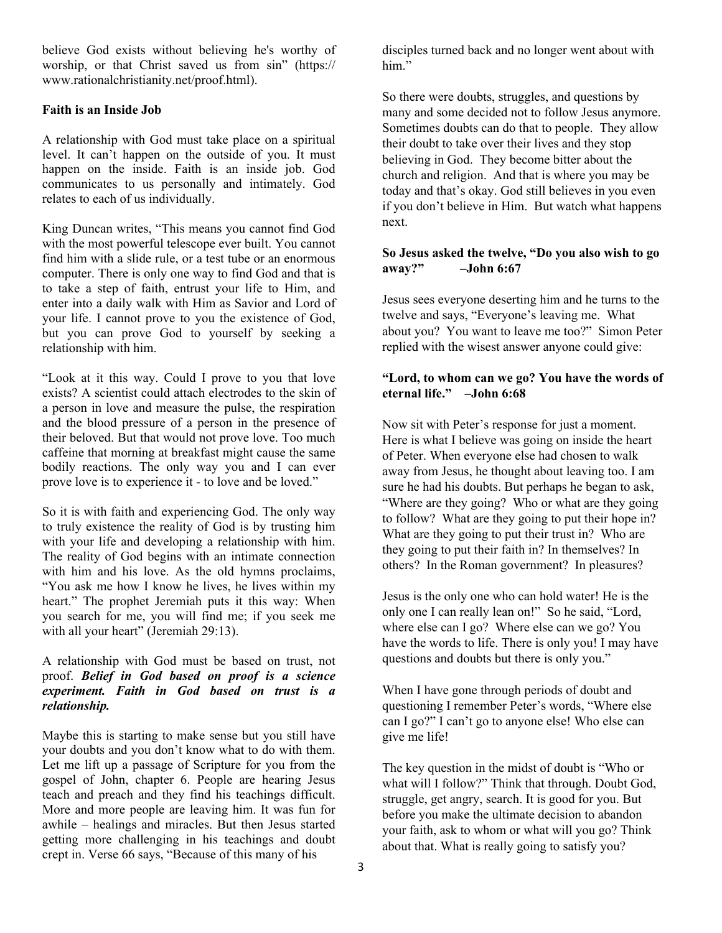believe God exists without believing he's worthy of worship, or that Christ saved us from sin" (https:// www.rationalchristianity.net/proof.html).

## **Faith is an Inside Job**

A relationship with God must take place on a spiritual level. It can't happen on the outside of you. It must happen on the inside. Faith is an inside job. God communicates to us personally and intimately. God relates to each of us individually.

King Duncan writes, "This means you cannot find God with the most powerful telescope ever built. You cannot find him with a slide rule, or a test tube or an enormous computer. There is only one way to find God and that is to take a step of faith, entrust your life to Him, and enter into a daily walk with Him as Savior and Lord of your life. I cannot prove to you the existence of God, but you can prove God to yourself by seeking a relationship with him.

"Look at it this way. Could I prove to you that love exists? A scientist could attach electrodes to the skin of a person in love and measure the pulse, the respiration and the blood pressure of a person in the presence of their beloved. But that would not prove love. Too much caffeine that morning at breakfast might cause the same bodily reactions. The only way you and I can ever prove love is to experience it - to love and be loved."

So it is with faith and experiencing God. The only way to truly existence the reality of God is by trusting him with your life and developing a relationship with him. The reality of God begins with an intimate connection with him and his love. As the old hymns proclaims, "You ask me how I know he lives, he lives within my heart." The prophet Jeremiah puts it this way: When you search for me, you will find me; if you seek me with all your heart" (Jeremiah 29:13).

## A relationship with God must be based on trust, not proof. *Belief in God based on proof is a science experiment. Faith in God based on trust is a relationship.*

Maybe this is starting to make sense but you still have your doubts and you don't know what to do with them. Let me lift up a passage of Scripture for you from the gospel of John, chapter 6. People are hearing Jesus teach and preach and they find his teachings difficult. More and more people are leaving him. It was fun for awhile – healings and miracles. But then Jesus started getting more challenging in his teachings and doubt crept in. Verse 66 says, "Because of this many of his

disciples turned back and no longer went about with him."

So there were doubts, struggles, and questions by many and some decided not to follow Jesus anymore. Sometimes doubts can do that to people. They allow their doubt to take over their lives and they stop believing in God. They become bitter about the church and religion. And that is where you may be today and that's okay. God still believes in you even if you don't believe in Him. But watch what happens next.

## **So Jesus asked the twelve, "Do you also wish to go away?" –John 6:67**

Jesus sees everyone deserting him and he turns to the twelve and says, "Everyone's leaving me. What about you? You want to leave me too?" Simon Peter replied with the wisest answer anyone could give:

## **"Lord, to whom can we go? You have the words of eternal life." –John 6:68**

Now sit with Peter's response for just a moment. Here is what I believe was going on inside the heart of Peter. When everyone else had chosen to walk away from Jesus, he thought about leaving too. I am sure he had his doubts. But perhaps he began to ask, "Where are they going? Who or what are they going to follow? What are they going to put their hope in? What are they going to put their trust in? Who are they going to put their faith in? In themselves? In others? In the Roman government? In pleasures?

Jesus is the only one who can hold water! He is the only one I can really lean on!" So he said, "Lord, where else can I go? Where else can we go? You have the words to life. There is only you! I may have questions and doubts but there is only you."

When I have gone through periods of doubt and questioning I remember Peter's words, "Where else can I go?" I can't go to anyone else! Who else can give me life!

The key question in the midst of doubt is "Who or what will I follow?" Think that through. Doubt God, struggle, get angry, search. It is good for you. But before you make the ultimate decision to abandon your faith, ask to whom or what will you go? Think about that. What is really going to satisfy you?